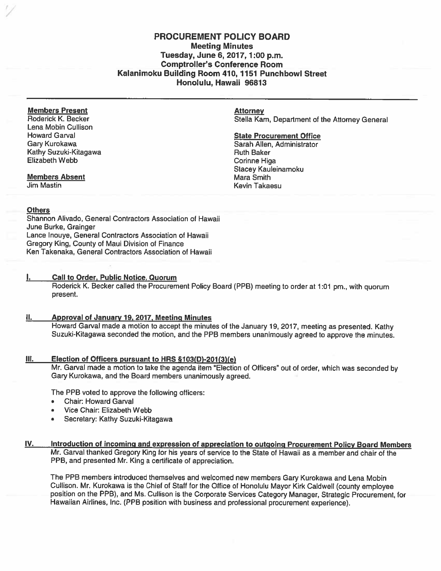# PROCUREMENT POLICY BOARD Meeting Minutes Tuesday, June 6,2017,1:00 p.m. Comptroller's Conference Room Kalanimoku Building Room 410, 1151 Punchbowl Street Honolulu, Hawaii 96813

# Members Present (Attorney Attorney Attorney Attorney Attorney Attorney Attorney Attorney Attorney Attorney Attorney Attorney Attorney Attorney Attorney Attorney Attorney Attorney Attorney Attorney Attorney Attorney Attorne

Lena Mobin Cullison Howard Garval **State Procurement Office State Procurement Office** Kathy Suzuki-Kitagawa **Ruth Baker** Ruth Baker Elizabeth Webb **Comme** Higa

#### **Members Absent Mara Smith Mara Smith Mara Smith Mara Smith Mara Smith Mara Smith Mara Smith Mara Smith Mara Smith Mara Smith Mara Smith Mara Smith Mara Smith Mara Smith Mara Smith Mara Smith Mara Smith Mara Smith Mara Smi**

# **Others**

Shannon Alivado, General Contractors Association of Hawaii June Burke, Grainger Lance lnouye, General Contractors Association of Hawaii Gregory King, County of Maui Division of Finance Ken Takenaka, General Contractors Association of Hawaii

# I. Call to Order, Public Notice, Quorum

Roderick K. Becker called the Procurement Policy Board (PPB) meeting to order at 1:01 pm., with quorum present.

# II. Approval of January 19. 2017, Meeting Minutes

Howard Garval made <sup>a</sup> motion to accep<sup>t</sup> the minutes of the January 19, 2017, meeting as presented. Kathy Suzuki-Kitagawa seconded the motion, and the PPB members unanimously agree<sup>d</sup> to approve the minutes.

#### Ill. Election of Officers pursuan<sup>t</sup> to HRS Q103(D)-201(3)(e)

Mr. Garval made <sup>a</sup> motion to take the agenda item 'Election of Officers" out of order, which was seconded by Gary Kurokawa, and the Board members unanimously agreed.

The PPB voted to approve the following officers:

- •Chair: Howard Garval
- •Vice Chair: Elizabeth Webb
- •Secretary: Kathy Suzuki-Kitagawa

# IV. Introduction of incoming and expression of appreciation to outgoing Procurement Policy Board Members Mr. Garval thanked Gregory King for his years of service to the State of Hawaii as <sup>a</sup> member and chair of the PPB, and presented Mr. King <sup>a</sup> certificate of appreciation.

The PPB members introduced themselves and welcomed new members Gary Kurokawa and Lena Mobin Cullison. Mr. Kurokawa is the Chief of Staff for the Office of Honolulu Mayor Kirk CaIdwell (county employee position on the PPB), and Ms. Cullison is the Corporate Services Category Manager, Strategic Procurement, for Hawaiian Airlines, Inc. (PPB position with business and professional procuremen<sup>t</sup> experience).

Stella Kam, Department of the Attorney General

Gary Kurokawa Sarah Allen, Administrator Stacey Kauleinamoku Jim Mastin Kevin Takaesu